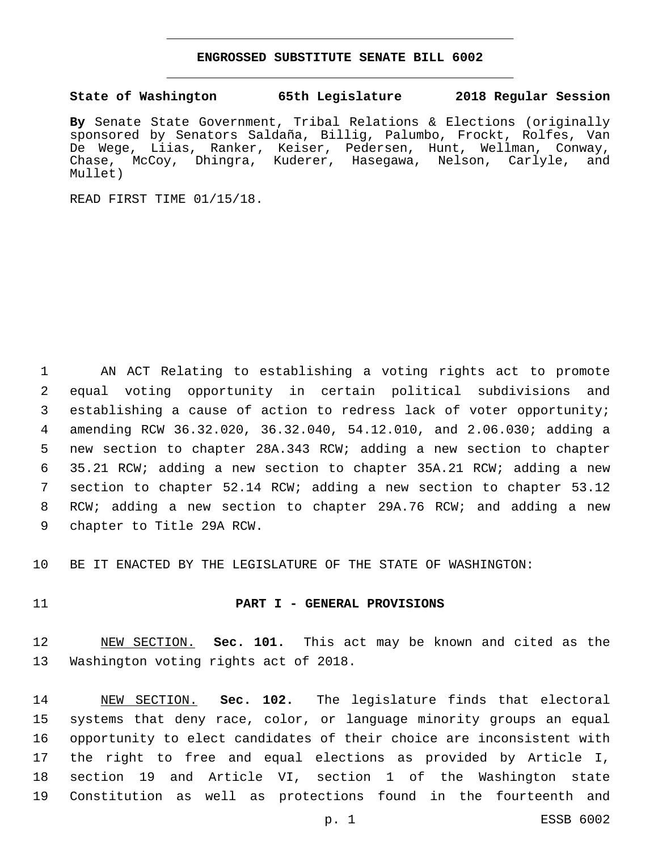#### **ENGROSSED SUBSTITUTE SENATE BILL 6002**

## **State of Washington 65th Legislature 2018 Regular Session**

**By** Senate State Government, Tribal Relations & Elections (originally sponsored by Senators Saldaña, Billig, Palumbo, Frockt, Rolfes, Van De Wege, Liias, Ranker, Keiser, Pedersen, Hunt, Wellman, Conway, Chase, McCoy, Dhingra, Kuderer, Hasegawa, Nelson, Carlyle, and Mullet)

READ FIRST TIME 01/15/18.

 AN ACT Relating to establishing a voting rights act to promote equal voting opportunity in certain political subdivisions and establishing a cause of action to redress lack of voter opportunity; amending RCW 36.32.020, 36.32.040, 54.12.010, and 2.06.030; adding a new section to chapter 28A.343 RCW; adding a new section to chapter 35.21 RCW; adding a new section to chapter 35A.21 RCW; adding a new section to chapter 52.14 RCW; adding a new section to chapter 53.12 RCW; adding a new section to chapter 29A.76 RCW; and adding a new 9 chapter to Title 29A RCW.

BE IT ENACTED BY THE LEGISLATURE OF THE STATE OF WASHINGTON:

#### **PART I - GENERAL PROVISIONS**

 NEW SECTION. **Sec. 101.** This act may be known and cited as the Washington voting rights act of 2018.

 NEW SECTION. **Sec. 102.** The legislature finds that electoral systems that deny race, color, or language minority groups an equal opportunity to elect candidates of their choice are inconsistent with the right to free and equal elections as provided by Article I, section 19 and Article VI, section 1 of the Washington state Constitution as well as protections found in the fourteenth and

p. 1 ESSB 6002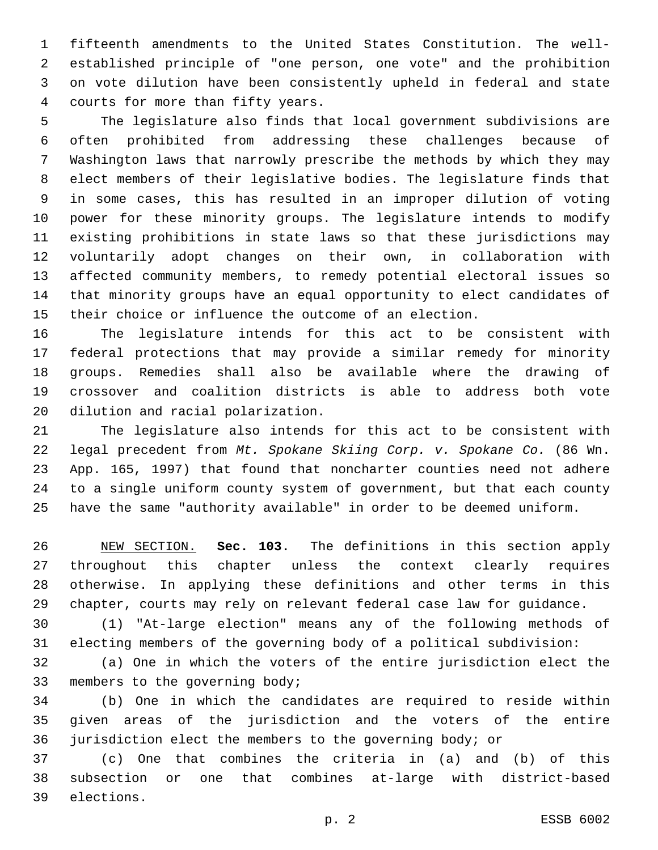fifteenth amendments to the United States Constitution. The well- established principle of "one person, one vote" and the prohibition on vote dilution have been consistently upheld in federal and state 4 courts for more than fifty years.

 The legislature also finds that local government subdivisions are often prohibited from addressing these challenges because of Washington laws that narrowly prescribe the methods by which they may elect members of their legislative bodies. The legislature finds that in some cases, this has resulted in an improper dilution of voting power for these minority groups. The legislature intends to modify existing prohibitions in state laws so that these jurisdictions may voluntarily adopt changes on their own, in collaboration with affected community members, to remedy potential electoral issues so that minority groups have an equal opportunity to elect candidates of their choice or influence the outcome of an election.

 The legislature intends for this act to be consistent with federal protections that may provide a similar remedy for minority groups. Remedies shall also be available where the drawing of crossover and coalition districts is able to address both vote 20 dilution and racial polarization.

 The legislature also intends for this act to be consistent with legal precedent from *Mt. Spokane Skiing Corp. v. Spokane Co.* (86 Wn. App. 165, 1997) that found that noncharter counties need not adhere to a single uniform county system of government, but that each county have the same "authority available" in order to be deemed uniform.

 NEW SECTION. **Sec. 103.** The definitions in this section apply throughout this chapter unless the context clearly requires otherwise. In applying these definitions and other terms in this chapter, courts may rely on relevant federal case law for guidance.

 (1) "At-large election" means any of the following methods of electing members of the governing body of a political subdivision:

 (a) One in which the voters of the entire jurisdiction elect the 33 members to the governing body;

 (b) One in which the candidates are required to reside within given areas of the jurisdiction and the voters of the entire jurisdiction elect the members to the governing body; or

 (c) One that combines the criteria in (a) and (b) of this subsection or one that combines at-large with district-based 39 elections.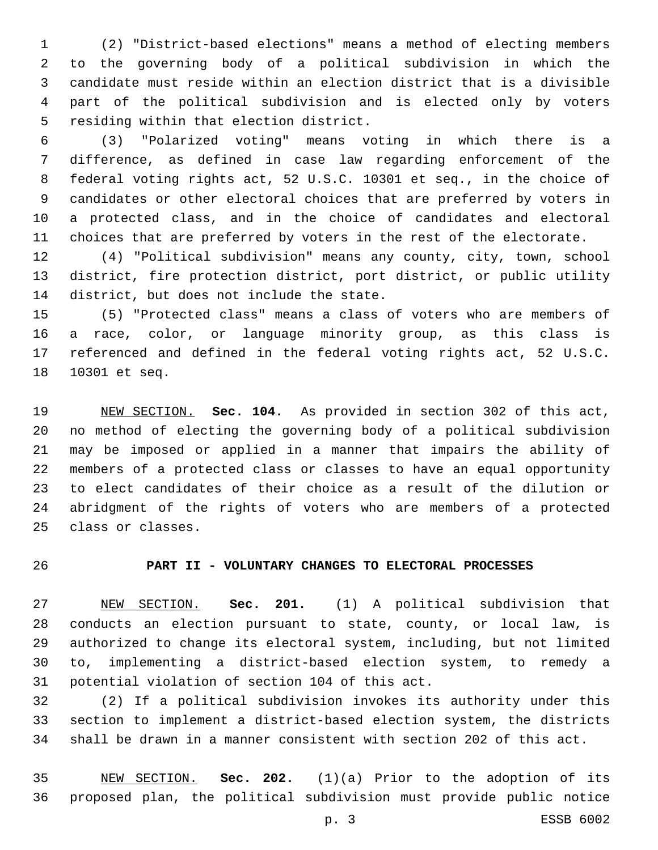(2) "District-based elections" means a method of electing members to the governing body of a political subdivision in which the candidate must reside within an election district that is a divisible part of the political subdivision and is elected only by voters 5 residing within that election district.

 (3) "Polarized voting" means voting in which there is a difference, as defined in case law regarding enforcement of the federal voting rights act, 52 U.S.C. 10301 et seq., in the choice of candidates or other electoral choices that are preferred by voters in a protected class, and in the choice of candidates and electoral choices that are preferred by voters in the rest of the electorate.

 (4) "Political subdivision" means any county, city, town, school district, fire protection district, port district, or public utility 14 district, but does not include the state.

 (5) "Protected class" means a class of voters who are members of a race, color, or language minority group, as this class is referenced and defined in the federal voting rights act, 52 U.S.C. 18 10301 et seq.

 NEW SECTION. **Sec. 104.** As provided in section 302 of this act, no method of electing the governing body of a political subdivision may be imposed or applied in a manner that impairs the ability of members of a protected class or classes to have an equal opportunity to elect candidates of their choice as a result of the dilution or abridgment of the rights of voters who are members of a protected class or classes.

# **PART II - VOLUNTARY CHANGES TO ELECTORAL PROCESSES**

 NEW SECTION. **Sec. 201.** (1) A political subdivision that conducts an election pursuant to state, county, or local law, is authorized to change its electoral system, including, but not limited to, implementing a district-based election system, to remedy a potential violation of section 104 of this act.

 (2) If a political subdivision invokes its authority under this section to implement a district-based election system, the districts shall be drawn in a manner consistent with section 202 of this act.

 NEW SECTION. **Sec. 202.** (1)(a) Prior to the adoption of its proposed plan, the political subdivision must provide public notice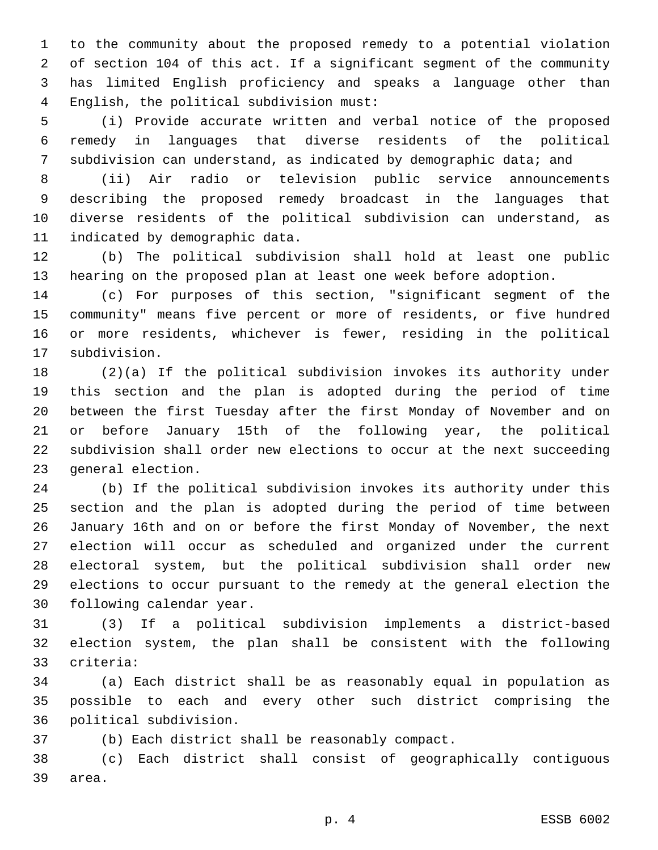to the community about the proposed remedy to a potential violation of section 104 of this act. If a significant segment of the community has limited English proficiency and speaks a language other than English, the political subdivision must:4

 (i) Provide accurate written and verbal notice of the proposed remedy in languages that diverse residents of the political subdivision can understand, as indicated by demographic data; and

 (ii) Air radio or television public service announcements describing the proposed remedy broadcast in the languages that diverse residents of the political subdivision can understand, as 11 indicated by demographic data.

 (b) The political subdivision shall hold at least one public hearing on the proposed plan at least one week before adoption.

 (c) For purposes of this section, "significant segment of the community" means five percent or more of residents, or five hundred or more residents, whichever is fewer, residing in the political 17 subdivision.

 (2)(a) If the political subdivision invokes its authority under this section and the plan is adopted during the period of time between the first Tuesday after the first Monday of November and on or before January 15th of the following year, the political subdivision shall order new elections to occur at the next succeeding 23 general election.

 (b) If the political subdivision invokes its authority under this section and the plan is adopted during the period of time between January 16th and on or before the first Monday of November, the next election will occur as scheduled and organized under the current electoral system, but the political subdivision shall order new elections to occur pursuant to the remedy at the general election the 30 following calendar year.

 (3) If a political subdivision implements a district-based election system, the plan shall be consistent with the following criteria:33

 (a) Each district shall be as reasonably equal in population as possible to each and every other such district comprising the political subdivision.36

(b) Each district shall be reasonably compact.

 (c) Each district shall consist of geographically contiguous 39 area.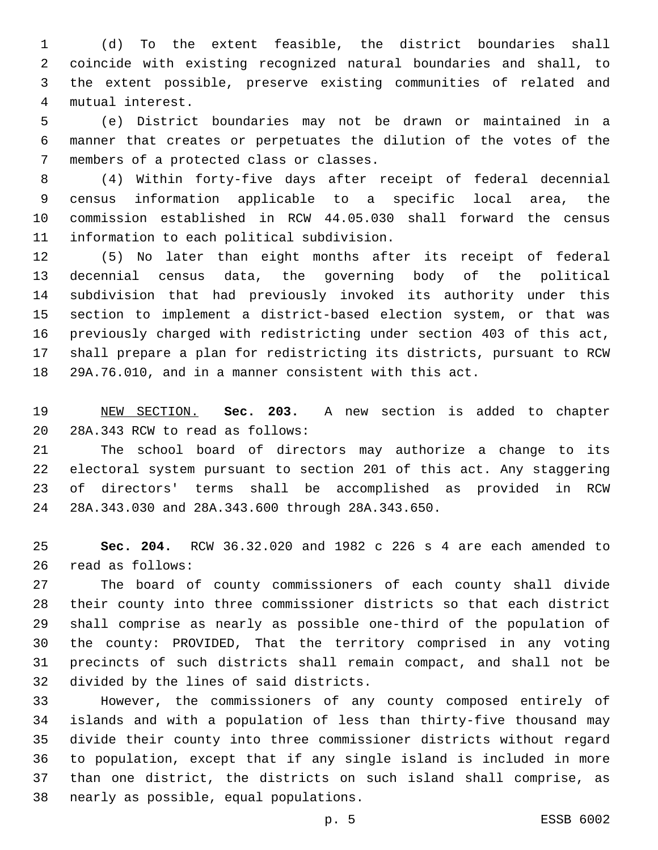(d) To the extent feasible, the district boundaries shall coincide with existing recognized natural boundaries and shall, to the extent possible, preserve existing communities of related and mutual interest.4

 (e) District boundaries may not be drawn or maintained in a manner that creates or perpetuates the dilution of the votes of the 7 members of a protected class or classes.

 (4) Within forty-five days after receipt of federal decennial census information applicable to a specific local area, the commission established in RCW 44.05.030 shall forward the census 11 information to each political subdivision.

 (5) No later than eight months after its receipt of federal decennial census data, the governing body of the political subdivision that had previously invoked its authority under this section to implement a district-based election system, or that was previously charged with redistricting under section 403 of this act, shall prepare a plan for redistricting its districts, pursuant to RCW 29A.76.010, and in a manner consistent with this act.

 NEW SECTION. **Sec. 203.** A new section is added to chapter 20 28A.343 RCW to read as follows:

 The school board of directors may authorize a change to its electoral system pursuant to section 201 of this act. Any staggering of directors' terms shall be accomplished as provided in RCW 28A.343.030 and 28A.343.600 through 28A.343.650.24

 **Sec. 204.** RCW 36.32.020 and 1982 c 226 s 4 are each amended to 26 read as follows:

 The board of county commissioners of each county shall divide their county into three commissioner districts so that each district shall comprise as nearly as possible one-third of the population of the county: PROVIDED, That the territory comprised in any voting precincts of such districts shall remain compact, and shall not be 32 divided by the lines of said districts.

 However, the commissioners of any county composed entirely of islands and with a population of less than thirty-five thousand may divide their county into three commissioner districts without regard to population, except that if any single island is included in more than one district, the districts on such island shall comprise, as 38 nearly as possible, equal populations.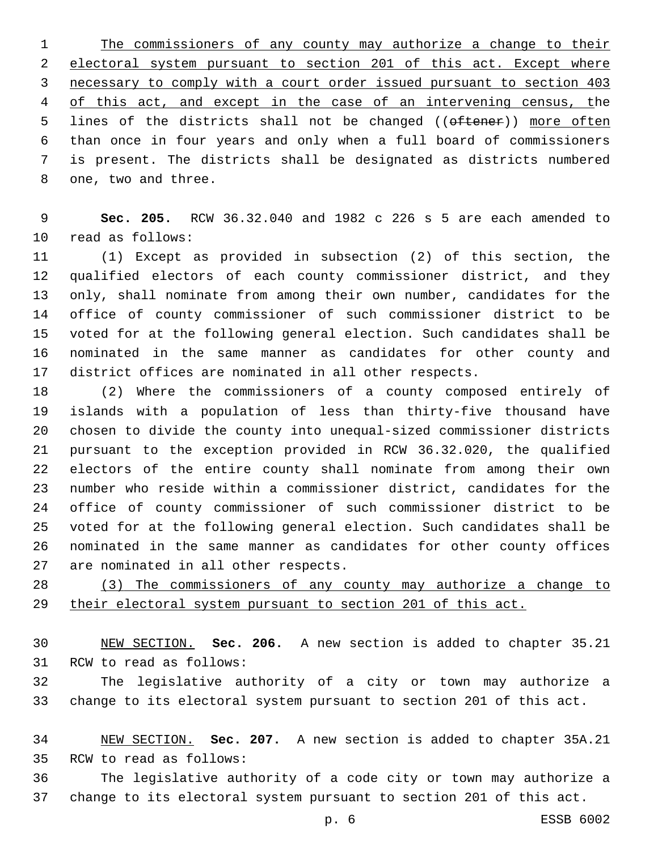The commissioners of any county may authorize a change to their electoral system pursuant to section 201 of this act. Except where necessary to comply with a court order issued pursuant to section 403 of this act, and except in the case of an intervening census, the 5 lines of the districts shall not be changed ((oftener)) more often than once in four years and only when a full board of commissioners is present. The districts shall be designated as districts numbered 8 one, two and three.

 **Sec. 205.** RCW 36.32.040 and 1982 c 226 s 5 are each amended to 10 read as follows:

 (1) Except as provided in subsection (2) of this section, the qualified electors of each county commissioner district, and they only, shall nominate from among their own number, candidates for the office of county commissioner of such commissioner district to be voted for at the following general election. Such candidates shall be nominated in the same manner as candidates for other county and district offices are nominated in all other respects.

 (2) Where the commissioners of a county composed entirely of islands with a population of less than thirty-five thousand have chosen to divide the county into unequal-sized commissioner districts pursuant to the exception provided in RCW 36.32.020, the qualified electors of the entire county shall nominate from among their own number who reside within a commissioner district, candidates for the office of county commissioner of such commissioner district to be voted for at the following general election. Such candidates shall be nominated in the same manner as candidates for other county offices 27 are nominated in all other respects.

 (3) The commissioners of any county may authorize a change to their electoral system pursuant to section 201 of this act.

 NEW SECTION. **Sec. 206.** A new section is added to chapter 35.21 31 RCW to read as follows:

 The legislative authority of a city or town may authorize a change to its electoral system pursuant to section 201 of this act.

 NEW SECTION. **Sec. 207.** A new section is added to chapter 35A.21 35 RCW to read as follows:

 The legislative authority of a code city or town may authorize a change to its electoral system pursuant to section 201 of this act.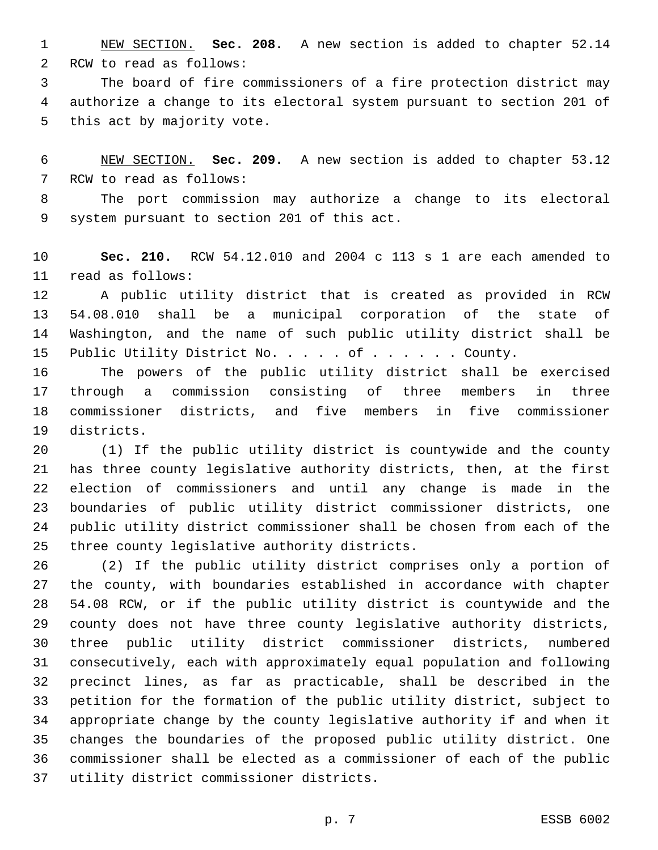NEW SECTION. **Sec. 208.** A new section is added to chapter 52.14 2 RCW to read as follows:

 The board of fire commissioners of a fire protection district may authorize a change to its electoral system pursuant to section 201 of 5 this act by majority vote.

 NEW SECTION. **Sec. 209.** A new section is added to chapter 53.12 7 RCW to read as follows:

 The port commission may authorize a change to its electoral 9 system pursuant to section 201 of this act.

 **Sec. 210.** RCW 54.12.010 and 2004 c 113 s 1 are each amended to 11 read as follows:

 A public utility district that is created as provided in RCW 54.08.010 shall be a municipal corporation of the state of Washington, and the name of such public utility district shall be 15 Public Utility District No. . . . of . . . . . . County.

 The powers of the public utility district shall be exercised through a commission consisting of three members in three commissioner districts, and five members in five commissioner 19 districts.

 (1) If the public utility district is countywide and the county has three county legislative authority districts, then, at the first election of commissioners and until any change is made in the boundaries of public utility district commissioner districts, one public utility district commissioner shall be chosen from each of the 25 three county legislative authority districts.

 (2) If the public utility district comprises only a portion of the county, with boundaries established in accordance with chapter 54.08 RCW, or if the public utility district is countywide and the county does not have three county legislative authority districts, three public utility district commissioner districts, numbered consecutively, each with approximately equal population and following precinct lines, as far as practicable, shall be described in the petition for the formation of the public utility district, subject to appropriate change by the county legislative authority if and when it changes the boundaries of the proposed public utility district. One commissioner shall be elected as a commissioner of each of the public 37 utility district commissioner districts.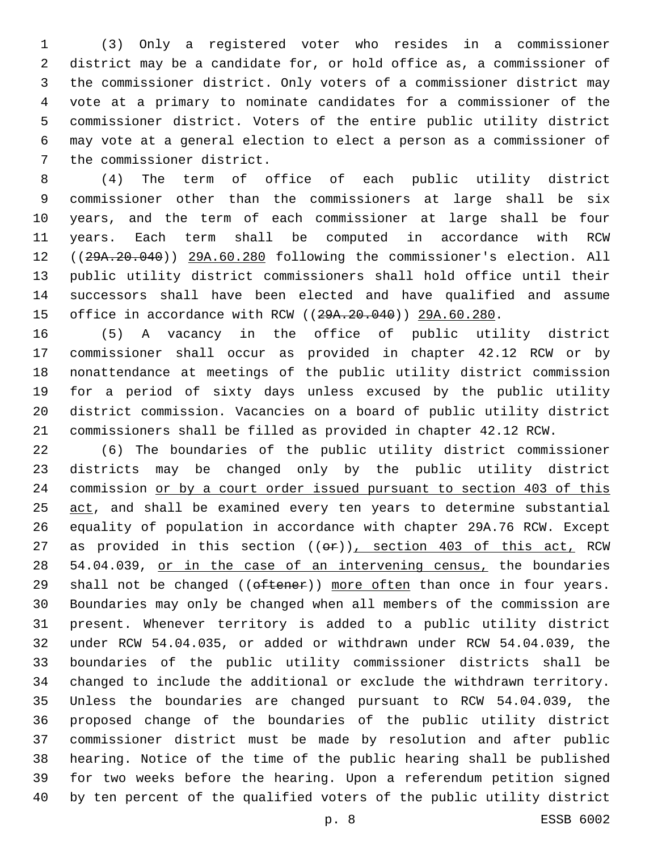(3) Only a registered voter who resides in a commissioner district may be a candidate for, or hold office as, a commissioner of the commissioner district. Only voters of a commissioner district may vote at a primary to nominate candidates for a commissioner of the commissioner district. Voters of the entire public utility district may vote at a general election to elect a person as a commissioner of 7 the commissioner district.

 (4) The term of office of each public utility district commissioner other than the commissioners at large shall be six years, and the term of each commissioner at large shall be four years. Each term shall be computed in accordance with RCW ((29A.20.040)) 29A.60.280 following the commissioner's election. All public utility district commissioners shall hold office until their successors shall have been elected and have qualified and assume 15 office in accordance with RCW ((29A.20.040)) 29A.60.280.

 (5) A vacancy in the office of public utility district commissioner shall occur as provided in chapter 42.12 RCW or by nonattendance at meetings of the public utility district commission for a period of sixty days unless excused by the public utility district commission. Vacancies on a board of public utility district commissioners shall be filled as provided in chapter 42.12 RCW.

 (6) The boundaries of the public utility district commissioner districts may be changed only by the public utility district commission or by a court order issued pursuant to section 403 of this 25 act, and shall be examined every ten years to determine substantial equality of population in accordance with chapter 29A.76 RCW. Except 27 as provided in this section  $((\theta \cdot \hat{r}))$ , section 403 of this act, RCW 28 54.04.039, or in the case of an intervening census, the boundaries 29 shall not be changed  $((\text{ofteen}))$  more often than once in four years. Boundaries may only be changed when all members of the commission are present. Whenever territory is added to a public utility district under RCW 54.04.035, or added or withdrawn under RCW 54.04.039, the boundaries of the public utility commissioner districts shall be changed to include the additional or exclude the withdrawn territory. Unless the boundaries are changed pursuant to RCW 54.04.039, the proposed change of the boundaries of the public utility district commissioner district must be made by resolution and after public hearing. Notice of the time of the public hearing shall be published for two weeks before the hearing. Upon a referendum petition signed by ten percent of the qualified voters of the public utility district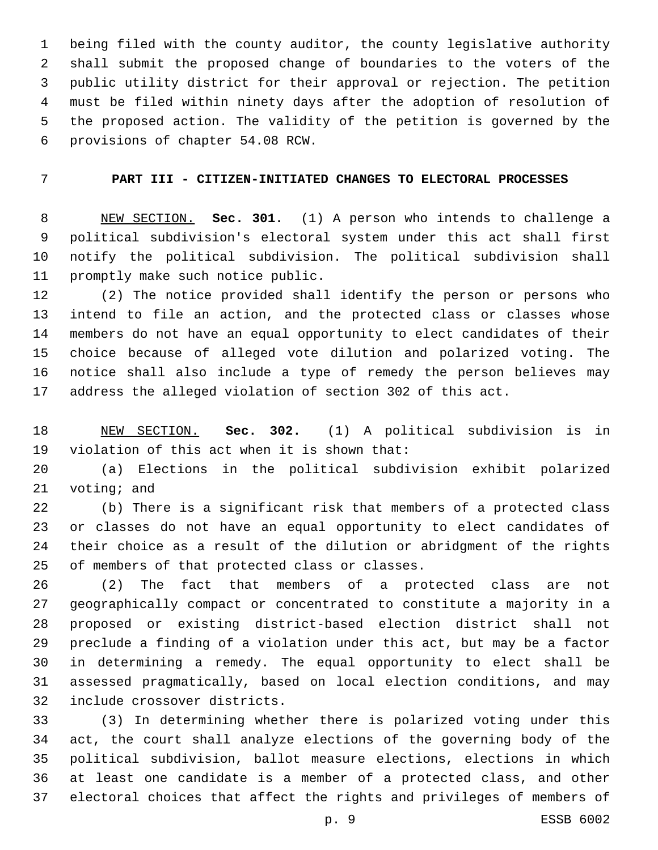being filed with the county auditor, the county legislative authority shall submit the proposed change of boundaries to the voters of the public utility district for their approval or rejection. The petition must be filed within ninety days after the adoption of resolution of the proposed action. The validity of the petition is governed by the 6 provisions of chapter 54.08 RCW.

## **PART III - CITIZEN-INITIATED CHANGES TO ELECTORAL PROCESSES**

 NEW SECTION. **Sec. 301.** (1) A person who intends to challenge a political subdivision's electoral system under this act shall first notify the political subdivision. The political subdivision shall promptly make such notice public.

 (2) The notice provided shall identify the person or persons who intend to file an action, and the protected class or classes whose members do not have an equal opportunity to elect candidates of their choice because of alleged vote dilution and polarized voting. The notice shall also include a type of remedy the person believes may address the alleged violation of section 302 of this act.

 NEW SECTION. **Sec. 302.** (1) A political subdivision is in violation of this act when it is shown that:

 (a) Elections in the political subdivision exhibit polarized 21 voting; and

 (b) There is a significant risk that members of a protected class or classes do not have an equal opportunity to elect candidates of their choice as a result of the dilution or abridgment of the rights 25 of members of that protected class or classes.

 (2) The fact that members of a protected class are not geographically compact or concentrated to constitute a majority in a proposed or existing district-based election district shall not preclude a finding of a violation under this act, but may be a factor in determining a remedy. The equal opportunity to elect shall be assessed pragmatically, based on local election conditions, and may 32 include crossover districts.

 (3) In determining whether there is polarized voting under this act, the court shall analyze elections of the governing body of the political subdivision, ballot measure elections, elections in which at least one candidate is a member of a protected class, and other electoral choices that affect the rights and privileges of members of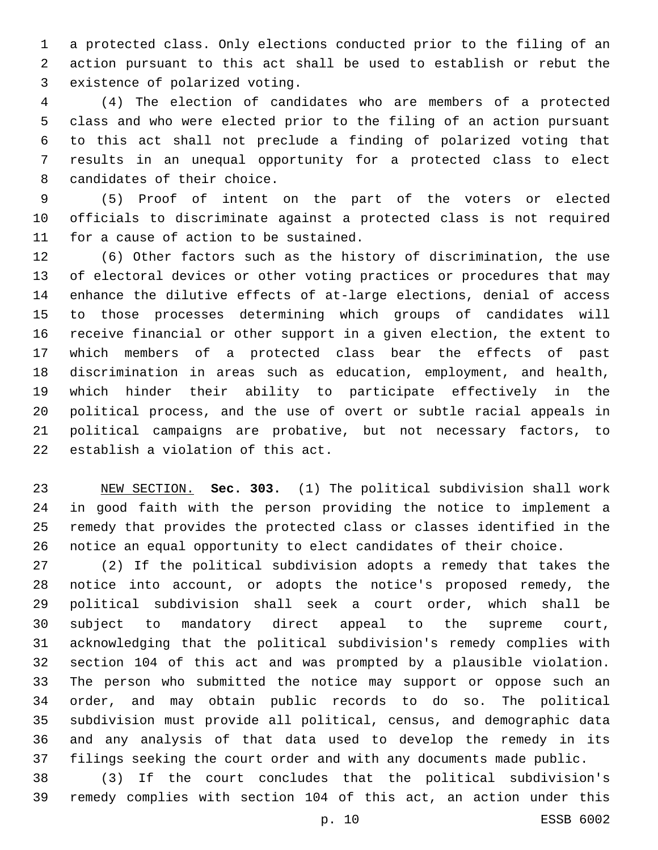a protected class. Only elections conducted prior to the filing of an action pursuant to this act shall be used to establish or rebut the 3 existence of polarized voting.

 (4) The election of candidates who are members of a protected class and who were elected prior to the filing of an action pursuant to this act shall not preclude a finding of polarized voting that results in an unequal opportunity for a protected class to elect 8 candidates of their choice.

 (5) Proof of intent on the part of the voters or elected officials to discriminate against a protected class is not required 11 for a cause of action to be sustained.

 (6) Other factors such as the history of discrimination, the use of electoral devices or other voting practices or procedures that may enhance the dilutive effects of at-large elections, denial of access to those processes determining which groups of candidates will receive financial or other support in a given election, the extent to which members of a protected class bear the effects of past discrimination in areas such as education, employment, and health, which hinder their ability to participate effectively in the political process, and the use of overt or subtle racial appeals in political campaigns are probative, but not necessary factors, to 22 establish a violation of this act.

 NEW SECTION. **Sec. 303.** (1) The political subdivision shall work in good faith with the person providing the notice to implement a remedy that provides the protected class or classes identified in the notice an equal opportunity to elect candidates of their choice.

 (2) If the political subdivision adopts a remedy that takes the notice into account, or adopts the notice's proposed remedy, the political subdivision shall seek a court order, which shall be subject to mandatory direct appeal to the supreme court, acknowledging that the political subdivision's remedy complies with section 104 of this act and was prompted by a plausible violation. The person who submitted the notice may support or oppose such an order, and may obtain public records to do so. The political subdivision must provide all political, census, and demographic data and any analysis of that data used to develop the remedy in its filings seeking the court order and with any documents made public.

 (3) If the court concludes that the political subdivision's remedy complies with section 104 of this act, an action under this

p. 10 ESSB 6002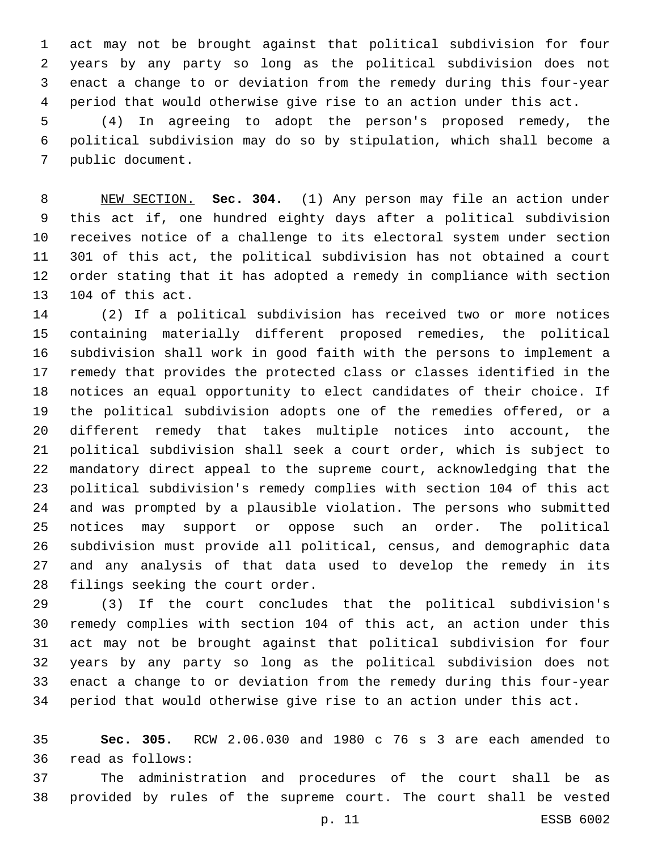act may not be brought against that political subdivision for four years by any party so long as the political subdivision does not enact a change to or deviation from the remedy during this four-year period that would otherwise give rise to an action under this act.

 (4) In agreeing to adopt the person's proposed remedy, the political subdivision may do so by stipulation, which shall become a 7 public document.

 NEW SECTION. **Sec. 304.** (1) Any person may file an action under this act if, one hundred eighty days after a political subdivision receives notice of a challenge to its electoral system under section 301 of this act, the political subdivision has not obtained a court order stating that it has adopted a remedy in compliance with section 104 of this act.

 (2) If a political subdivision has received two or more notices containing materially different proposed remedies, the political subdivision shall work in good faith with the persons to implement a remedy that provides the protected class or classes identified in the notices an equal opportunity to elect candidates of their choice. If the political subdivision adopts one of the remedies offered, or a different remedy that takes multiple notices into account, the political subdivision shall seek a court order, which is subject to mandatory direct appeal to the supreme court, acknowledging that the political subdivision's remedy complies with section 104 of this act and was prompted by a plausible violation. The persons who submitted notices may support or oppose such an order. The political subdivision must provide all political, census, and demographic data and any analysis of that data used to develop the remedy in its 28 filings seeking the court order.

 (3) If the court concludes that the political subdivision's remedy complies with section 104 of this act, an action under this act may not be brought against that political subdivision for four years by any party so long as the political subdivision does not enact a change to or deviation from the remedy during this four-year period that would otherwise give rise to an action under this act.

 **Sec. 305.** RCW 2.06.030 and 1980 c 76 s 3 are each amended to 36 read as follows:

 The administration and procedures of the court shall be as provided by rules of the supreme court. The court shall be vested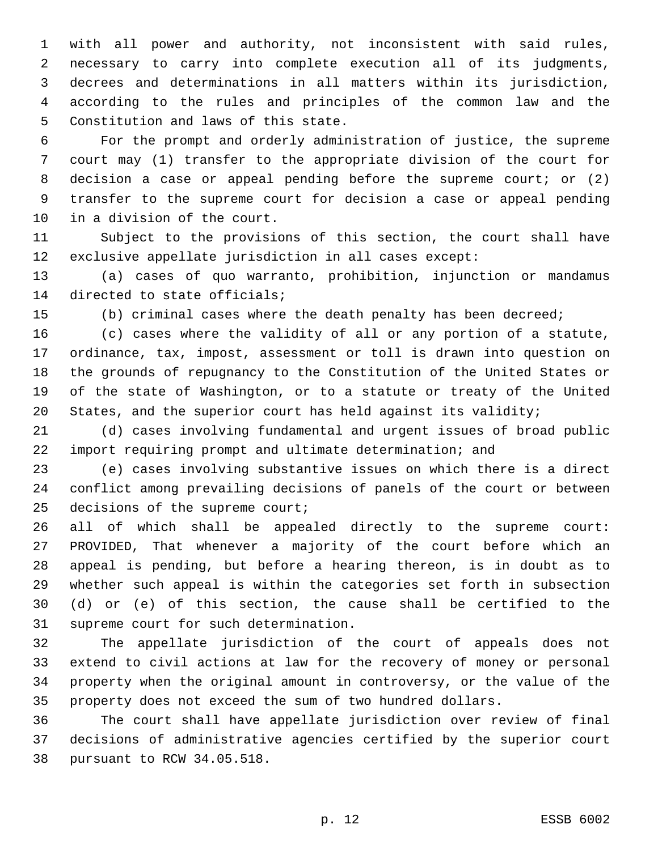with all power and authority, not inconsistent with said rules, necessary to carry into complete execution all of its judgments, decrees and determinations in all matters within its jurisdiction, according to the rules and principles of the common law and the 5 Constitution and laws of this state.

 For the prompt and orderly administration of justice, the supreme court may (1) transfer to the appropriate division of the court for 8 decision a case or appeal pending before the supreme court; or (2) transfer to the supreme court for decision a case or appeal pending 10 in a division of the court.

 Subject to the provisions of this section, the court shall have exclusive appellate jurisdiction in all cases except:

 (a) cases of quo warranto, prohibition, injunction or mandamus 14 directed to state officials;

(b) criminal cases where the death penalty has been decreed;

 (c) cases where the validity of all or any portion of a statute, ordinance, tax, impost, assessment or toll is drawn into question on the grounds of repugnancy to the Constitution of the United States or of the state of Washington, or to a statute or treaty of the United States, and the superior court has held against its validity;

 (d) cases involving fundamental and urgent issues of broad public import requiring prompt and ultimate determination; and

 (e) cases involving substantive issues on which there is a direct conflict among prevailing decisions of panels of the court or between 25 decisions of the supreme court;

 all of which shall be appealed directly to the supreme court: PROVIDED, That whenever a majority of the court before which an appeal is pending, but before a hearing thereon, is in doubt as to whether such appeal is within the categories set forth in subsection (d) or (e) of this section, the cause shall be certified to the 31 supreme court for such determination.

 The appellate jurisdiction of the court of appeals does not extend to civil actions at law for the recovery of money or personal property when the original amount in controversy, or the value of the property does not exceed the sum of two hundred dollars.

 The court shall have appellate jurisdiction over review of final decisions of administrative agencies certified by the superior court 38 pursuant to RCW 34.05.518.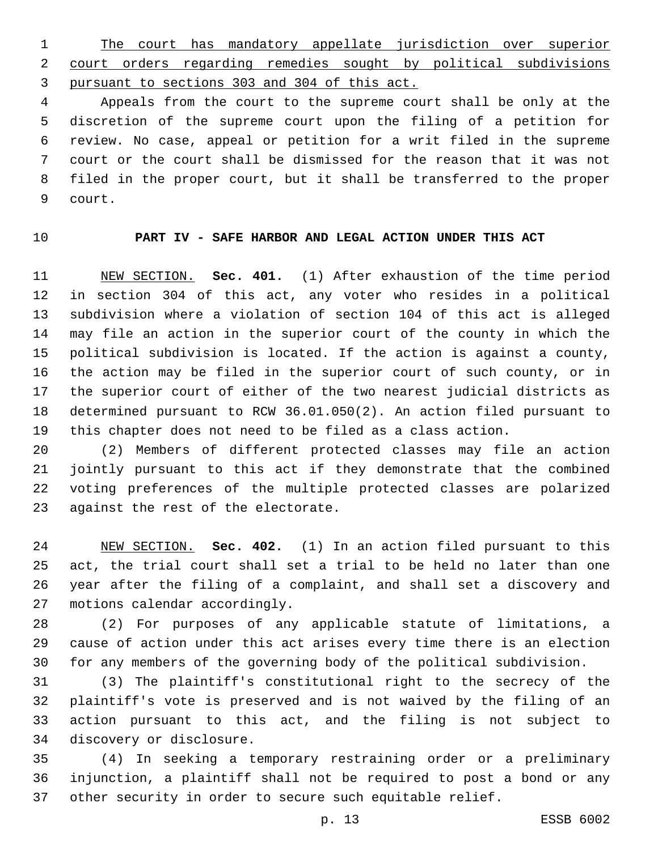The court has mandatory appellate jurisdiction over superior court orders regarding remedies sought by political subdivisions pursuant to sections 303 and 304 of this act.

 Appeals from the court to the supreme court shall be only at the discretion of the supreme court upon the filing of a petition for review. No case, appeal or petition for a writ filed in the supreme court or the court shall be dismissed for the reason that it was not filed in the proper court, but it shall be transferred to the proper 9 court.

## **PART IV - SAFE HARBOR AND LEGAL ACTION UNDER THIS ACT**

 NEW SECTION. **Sec. 401.** (1) After exhaustion of the time period in section 304 of this act, any voter who resides in a political subdivision where a violation of section 104 of this act is alleged may file an action in the superior court of the county in which the political subdivision is located. If the action is against a county, the action may be filed in the superior court of such county, or in the superior court of either of the two nearest judicial districts as determined pursuant to RCW 36.01.050(2). An action filed pursuant to this chapter does not need to be filed as a class action.

 (2) Members of different protected classes may file an action jointly pursuant to this act if they demonstrate that the combined voting preferences of the multiple protected classes are polarized 23 against the rest of the electorate.

 NEW SECTION. **Sec. 402.** (1) In an action filed pursuant to this act, the trial court shall set a trial to be held no later than one year after the filing of a complaint, and shall set a discovery and motions calendar accordingly.

 (2) For purposes of any applicable statute of limitations, a cause of action under this act arises every time there is an election for any members of the governing body of the political subdivision.

 (3) The plaintiff's constitutional right to the secrecy of the plaintiff's vote is preserved and is not waived by the filing of an action pursuant to this act, and the filing is not subject to 34 discovery or disclosure.

 (4) In seeking a temporary restraining order or a preliminary injunction, a plaintiff shall not be required to post a bond or any other security in order to secure such equitable relief.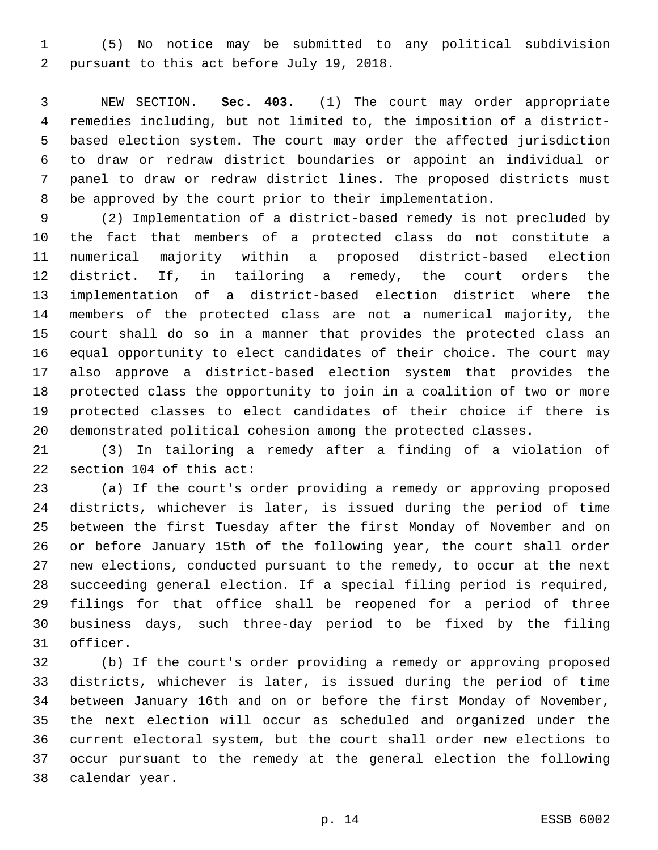(5) No notice may be submitted to any political subdivision 2 pursuant to this act before July 19, 2018.

 NEW SECTION. **Sec. 403.** (1) The court may order appropriate remedies including, but not limited to, the imposition of a district- based election system. The court may order the affected jurisdiction to draw or redraw district boundaries or appoint an individual or panel to draw or redraw district lines. The proposed districts must be approved by the court prior to their implementation.

 (2) Implementation of a district-based remedy is not precluded by the fact that members of a protected class do not constitute a numerical majority within a proposed district-based election district. If, in tailoring a remedy, the court orders the implementation of a district-based election district where the members of the protected class are not a numerical majority, the court shall do so in a manner that provides the protected class an equal opportunity to elect candidates of their choice. The court may also approve a district-based election system that provides the protected class the opportunity to join in a coalition of two or more protected classes to elect candidates of their choice if there is demonstrated political cohesion among the protected classes.

 (3) In tailoring a remedy after a finding of a violation of 22 section 104 of this act:

 (a) If the court's order providing a remedy or approving proposed districts, whichever is later, is issued during the period of time between the first Tuesday after the first Monday of November and on or before January 15th of the following year, the court shall order new elections, conducted pursuant to the remedy, to occur at the next succeeding general election. If a special filing period is required, filings for that office shall be reopened for a period of three business days, such three-day period to be fixed by the filing 31 officer.

 (b) If the court's order providing a remedy or approving proposed districts, whichever is later, is issued during the period of time between January 16th and on or before the first Monday of November, the next election will occur as scheduled and organized under the current electoral system, but the court shall order new elections to occur pursuant to the remedy at the general election the following 38 calendar year.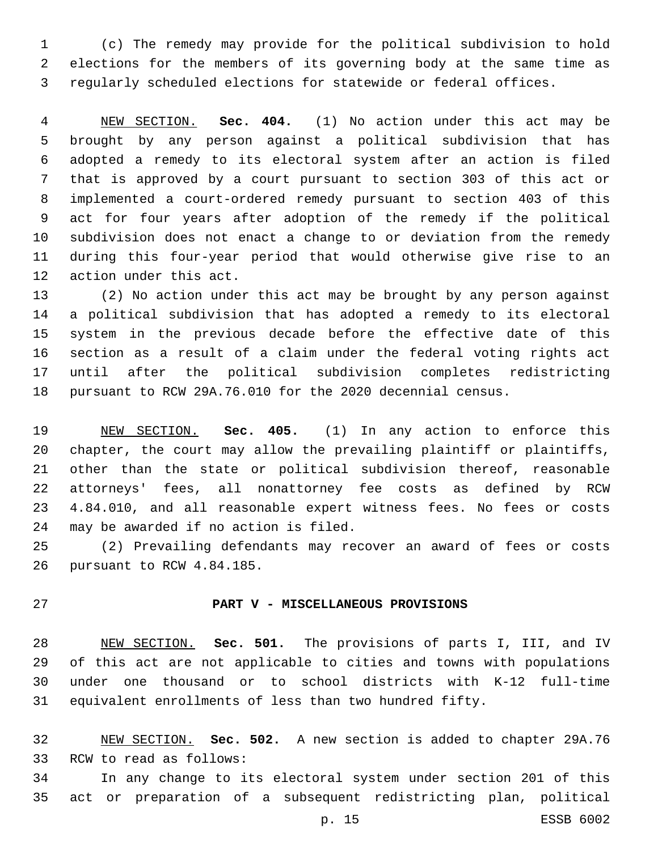(c) The remedy may provide for the political subdivision to hold elections for the members of its governing body at the same time as regularly scheduled elections for statewide or federal offices.

 NEW SECTION. **Sec. 404.** (1) No action under this act may be brought by any person against a political subdivision that has adopted a remedy to its electoral system after an action is filed that is approved by a court pursuant to section 303 of this act or implemented a court-ordered remedy pursuant to section 403 of this act for four years after adoption of the remedy if the political subdivision does not enact a change to or deviation from the remedy during this four-year period that would otherwise give rise to an action under this act.

 (2) No action under this act may be brought by any person against a political subdivision that has adopted a remedy to its electoral system in the previous decade before the effective date of this section as a result of a claim under the federal voting rights act until after the political subdivision completes redistricting pursuant to RCW 29A.76.010 for the 2020 decennial census.

 NEW SECTION. **Sec. 405.** (1) In any action to enforce this 20 chapter, the court may allow the prevailing plaintiff or plaintiffs, other than the state or political subdivision thereof, reasonable attorneys' fees, all nonattorney fee costs as defined by RCW 4.84.010, and all reasonable expert witness fees. No fees or costs may be awarded if no action is filed.

 (2) Prevailing defendants may recover an award of fees or costs 26 pursuant to RCW 4.84.185.

## **PART V - MISCELLANEOUS PROVISIONS**

 NEW SECTION. **Sec. 501.** The provisions of parts I, III, and IV of this act are not applicable to cities and towns with populations under one thousand or to school districts with K-12 full-time equivalent enrollments of less than two hundred fifty.

 NEW SECTION. **Sec. 502.** A new section is added to chapter 29A.76 33 RCW to read as follows:

 In any change to its electoral system under section 201 of this act or preparation of a subsequent redistricting plan, political